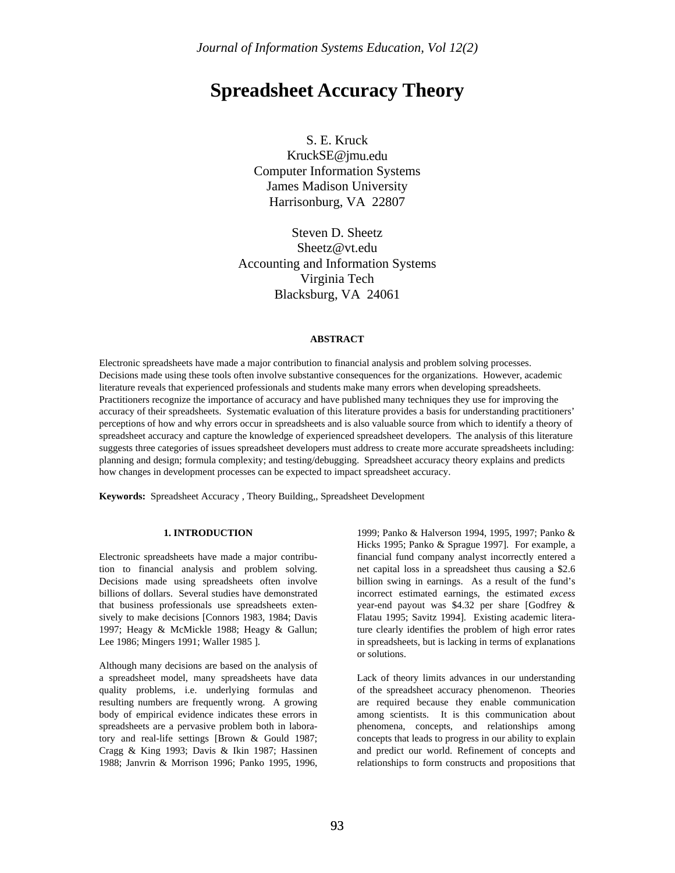# **Spreadsheet Accuracy Theory**

S. E. Kruck KruckSE@jmu.edu Computer Information Systems James Madison University Harrisonburg, VA 22807

Steven D. Sheetz Sheetz@vt.edu Accounting and Information Systems Virginia Tech Blacksburg, VA 24061

## **ABSTRACT**

Electronic spreadsheets have made a major contribution to financial analysis and problem solving processes. Decisions made using these tools often involve substantive consequences for the organizations. However, academic literature reveals that experienced professionals and students make many errors when developing spreadsheets. Practitioners recognize the importance of accuracy and have published many techniques they use for improving the accuracy of their spreadsheets. Systematic evaluation of this literature provides a basis for understanding practitioners' perceptions of how and why errors occur in spreadsheets and is also valuable source from which to identify a theory of spreadsheet accuracy and capture the knowledge of experienced spreadsheet developers. The analysis of this literature suggests three categories of issues spreadsheet developers must address to create more accurate spreadsheets including: planning and design; formula complexity; and testing/debugging. Spreadsheet accuracy theory explains and predicts how changes in development processes can be expected to impact spreadsheet accuracy.

**Keywords:** Spreadsheet Accuracy , Theory Building,, Spreadsheet Development

#### **1. INTRODUCTION**

Electronic spreadsheets have made a major contribution to financial analysis and problem solving. Decisions made using spreadsheets often involve billions of dollars. Several studies have demonstrated that business professionals use spreadsheets extensively to make decisions [Connors 1983, 1984; Davis 1997; Heagy & McMickle 1988; Heagy & Gallun; Lee 1986; Mingers 1991; Waller 1985 ].

Although many decisions are based on the analysis of a spreadsheet model, many spreadsheets have data quality problems, i.e. underlying formulas and resulting numbers are frequently wrong. A growing body of empirical evidence indicates these errors in spreadsheets are a pervasive problem both in laboratory and real-life settings [Brown & Gould 1987; Cragg & King 1993; Davis & Ikin 1987; Hassinen 1988; Janvrin & Morrison 1996; Panko 1995, 1996,

1999; Panko & Halverson 1994, 1995, 1997; Panko & Hicks 1995; Panko & Sprague 1997]. For example, a financial fund company analyst incorrectly entered a net capital loss in a spreadsheet thus causing a \$2.6 billion swing in earnings. As a result of the fund's incorrect estimated earnings, the estimated *excess* year-end payout was \$4.32 per share [Godfrey & Flatau 1995; Savitz 1994]. Existing academic literature clearly identifies the problem of high error rates in spreadsheets, but is lacking in terms of explanations or solutions.

Lack of theory limits advances in our understanding of the spreadsheet accuracy phenomenon. Theories are required because they enable communication among scientists. It is this communication about phenomena, concepts, and relationships among concepts that leads to progress in our ability to explain and predict our world. Refinement of concepts and relationships to form constructs and propositions that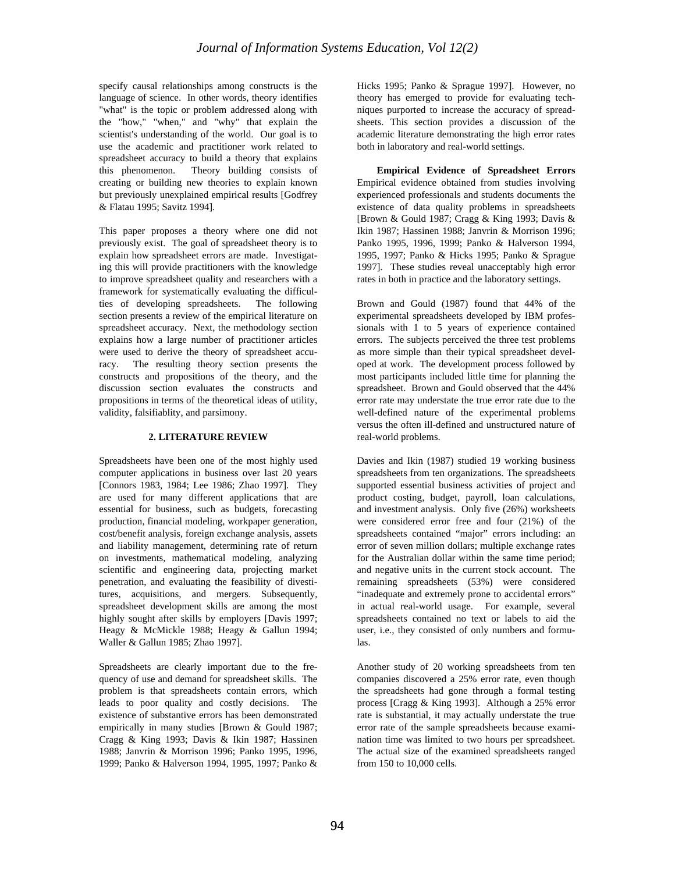specify causal relationships among constructs is the language of science. In other words, theory identifies "what" is the topic or problem addressed along with the "how," "when," and "why" that explain the scientist's understanding of the world. Our goal is to use the academic and practitioner work related to spreadsheet accuracy to build a theory that explains this phenomenon. Theory building consists of creating or building new theories to explain known but previously unexplained empirical results [Godfrey & Flatau 1995; Savitz 1994].

This paper proposes a theory where one did not previously exist. The goal of spreadsheet theory is to explain how spreadsheet errors are made. Investigating this will provide practitioners with the knowledge to improve spreadsheet quality and researchers with a framework for systematically evaluating the difficulties of developing spreadsheets. The following section presents a review of the empirical literature on spreadsheet accuracy. Next, the methodology section explains how a large number of practitioner articles were used to derive the theory of spreadsheet accuracy. The resulting theory section presents the constructs and propositions of the theory, and the discussion section evaluates the constructs and propositions in terms of the theoretical ideas of utility, validity, falsifiablity, and parsimony.

#### **2. LITERATURE REVIEW**

Spreadsheets have been one of the most highly used computer applications in business over last 20 years [Connors 1983, 1984; Lee 1986; Zhao 1997]. They are used for many different applications that are essential for business, such as budgets, forecasting production, financial modeling, workpaper generation, cost/benefit analysis, foreign exchange analysis, assets and liability management, determining rate of return on investments, mathematical modeling, analyzing scientific and engineering data, projecting market penetration, and evaluating the feasibility of divestitures, acquisitions, and mergers. Subsequently, spreadsheet development skills are among the most highly sought after skills by employers [Davis 1997; Heagy & McMickle 1988; Heagy & Gallun 1994; Waller & Gallun 1985; Zhao 1997].

Spreadsheets are clearly important due to the frequency of use and demand for spreadsheet skills. The problem is that spreadsheets contain errors, which leads to poor quality and costly decisions. The existence of substantive errors has been demonstrated empirically in many studies [Brown & Gould 1987; Cragg & King 1993; Davis & Ikin 1987; Hassinen 1988; Janvrin & Morrison 1996; Panko 1995, 1996, 1999; Panko & Halverson 1994, 1995, 1997; Panko &

Hicks 1995; Panko & Sprague 1997]. However, no theory has emerged to provide for evaluating techniques purported to increase the accuracy of spreadsheets. This section provides a discussion of the academic literature demonstrating the high error rates both in laboratory and real-world settings.

**Empirical Evidence of Spreadsheet Errors** Empirical evidence obtained from studies involving experienced professionals and students documents the existence of data quality problems in spreadsheets [Brown & Gould 1987; Cragg & King 1993; Davis & Ikin 1987; Hassinen 1988; Janvrin & Morrison 1996; Panko 1995, 1996, 1999; Panko & Halverson 1994, 1995, 1997; Panko & Hicks 1995; Panko & Sprague 1997]. These studies reveal unacceptably high error rates in both in practice and the laboratory settings.

Brown and Gould (1987) found that 44% of the experimental spreadsheets developed by IBM professionals with 1 to 5 years of experience contained errors. The subjects perceived the three test problems as more simple than their typical spreadsheet developed at work. The development process followed by most participants included little time for planning the spreadsheet. Brown and Gould observed that the 44% error rate may understate the true error rate due to the well-defined nature of the experimental problems versus the often ill-defined and unstructured nature of real-world problems.

Davies and Ikin (1987) studied 19 working business spreadsheets from ten organizations. The spreadsheets supported essential business activities of project and product costing, budget, payroll, loan calculations, and investment analysis. Only five (26%) worksheets were considered error free and four (21%) of the spreadsheets contained "major" errors including: an error of seven million dollars; multiple exchange rates for the Australian dollar within the same time period; and negative units in the current stock account. The remaining spreadsheets (53%) were considered "inadequate and extremely prone to accidental errors" in actual real-world usage. For example, several spreadsheets contained no text or labels to aid the user, i.e., they consisted of only numbers and formulas.

Another study of 20 working spreadsheets from ten companies discovered a 25% error rate, even though the spreadsheets had gone through a formal testing process [Cragg & King 1993]. Although a 25% error rate is substantial, it may actually understate the true error rate of the sample spreadsheets because examination time was limited to two hours per spreadsheet. The actual size of the examined spreadsheets ranged from 150 to 10,000 cells.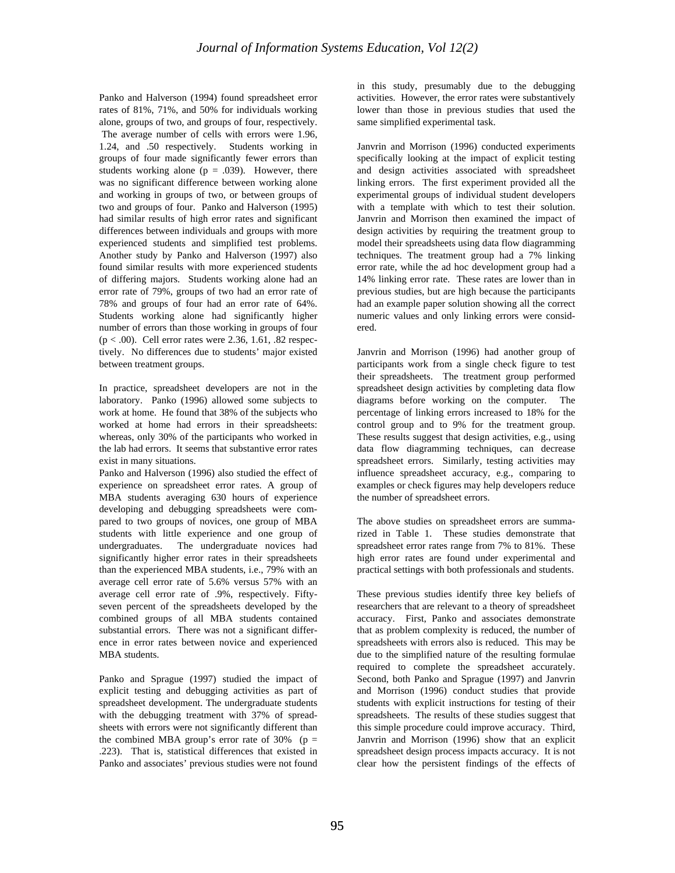Panko and Halverson (1994) found spreadsheet error rates of 81%, 71%, and 50% for individuals working alone, groups of two, and groups of four, respectively. The average number of cells with errors were 1.96, 1.24, and .50 respectively. Students working in groups of four made significantly fewer errors than students working alone ( $p = .039$ ). However, there was no significant difference between working alone and working in groups of two, or between groups of two and groups of four. Panko and Halverson (1995) had similar results of high error rates and significant differences between individuals and groups with more experienced students and simplified test problems. Another study by Panko and Halverson (1997) also found similar results with more experienced students of differing majors. Students working alone had an error rate of 79%, groups of two had an error rate of 78% and groups of four had an error rate of 64%. Students working alone had significantly higher number of errors than those working in groups of four  $(p < .00)$ . Cell error rates were 2.36, 1.61, .82 respectively. No differences due to students' major existed between treatment groups.

In practice, spreadsheet developers are not in the laboratory. Panko (1996) allowed some subjects to work at home. He found that 38% of the subjects who worked at home had errors in their spreadsheets: whereas, only 30% of the participants who worked in the lab had errors. It seems that substantive error rates exist in many situations.

Panko and Halverson (1996) also studied the effect of experience on spreadsheet error rates. A group of MBA students averaging 630 hours of experience developing and debugging spreadsheets were compared to two groups of novices, one group of MBA students with little experience and one group of undergraduates. The undergraduate novices had significantly higher error rates in their spreadsheets than the experienced MBA students, i.e., 79% with an average cell error rate of 5.6% versus 57% with an average cell error rate of .9%, respectively. Fiftyseven percent of the spreadsheets developed by the combined groups of all MBA students contained substantial errors. There was not a significant difference in error rates between novice and experienced MBA students.

Panko and Sprague (1997) studied the impact of explicit testing and debugging activities as part of spreadsheet development. The undergraduate students with the debugging treatment with 37% of spreadsheets with errors were not significantly different than the combined MBA group's error rate of  $30\%$  (p = .223). That is, statistical differences that existed in Panko and associates' previous studies were not found in this study, presumably due to the debugging activities. However, the error rates were substantively lower than those in previous studies that used the same simplified experimental task.

Janvrin and Morrison (1996) conducted experiments specifically looking at the impact of explicit testing and design activities associated with spreadsheet linking errors. The first experiment provided all the experimental groups of individual student developers with a template with which to test their solution. Janvrin and Morrison then examined the impact of design activities by requiring the treatment group to model their spreadsheets using data flow diagramming techniques. The treatment group had a 7% linking error rate, while the ad hoc development group had a 14% linking error rate. These rates are lower than in previous studies, but are high because the participants had an example paper solution showing all the correct numeric values and only linking errors were considered.

Janvrin and Morrison (1996) had another group of participants work from a single check figure to test their spreadsheets. The treatment group performed spreadsheet design activities by completing data flow diagrams before working on the computer. The percentage of linking errors increased to 18% for the control group and to 9% for the treatment group. These results suggest that design activities, e.g., using data flow diagramming techniques, can decrease spreadsheet errors. Similarly, testing activities may influence spreadsheet accuracy, e.g., comparing to examples or check figures may help developers reduce the number of spreadsheet errors.

The above studies on spreadsheet errors are summarized in Table 1. These studies demonstrate that spreadsheet error rates range from 7% to 81%. These high error rates are found under experimental and practical settings with both professionals and students.

These previous studies identify three key beliefs of researchers that are relevant to a theory of spreadsheet accuracy. First, Panko and associates demonstrate that as problem complexity is reduced, the number of spreadsheets with errors also is reduced. This may be due to the simplified nature of the resulting formulae required to complete the spreadsheet accurately. Second, both Panko and Sprague (1997) and Janvrin and Morrison (1996) conduct studies that provide students with explicit instructions for testing of their spreadsheets. The results of these studies suggest that this simple procedure could improve accuracy. Third, Janvrin and Morrison (1996) show that an explicit spreadsheet design process impacts accuracy. It is not clear how the persistent findings of the effects of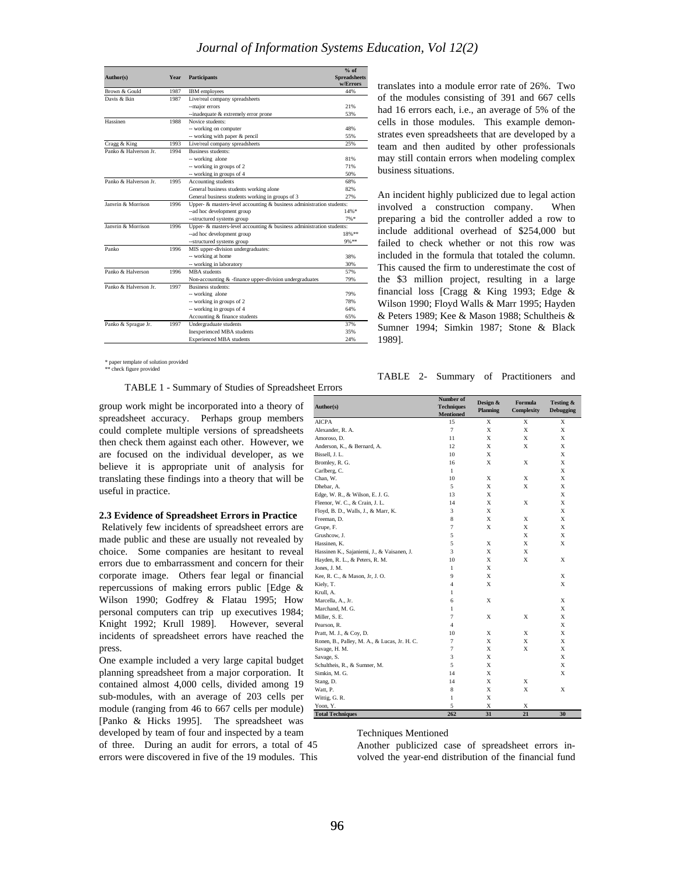| Author(s)             | <b>Year</b> | <b>Participants</b>                                                         | $%$ of<br><b>Spreadsheets</b><br>w/Errors |
|-----------------------|-------------|-----------------------------------------------------------------------------|-------------------------------------------|
| Brown & Gould         | 1987        | <b>IBM</b> employees                                                        | 44%                                       |
| Davis & Ikin          | 1987        | Live/real company spreadsheets                                              |                                           |
|                       |             | --major errors                                                              | 21%                                       |
|                       |             | --inadequate & extremely error prone                                        | 53%                                       |
| Hassinen              | 1988        | Novice students:                                                            |                                           |
|                       |             | -- working on computer                                                      | 48%                                       |
|                       |             | -- working with paper & pencil                                              | 55%                                       |
| Cragg & King          | 1993        | Live/real company spreadsheets                                              | 25%                                       |
| Panko & Halverson Jr. | 1994        | <b>Business students:</b>                                                   |                                           |
|                       |             | -- working alone                                                            | 81%                                       |
|                       |             | -- working in groups of 2                                                   | 71%                                       |
|                       |             | -- working in groups of 4                                                   | 50%                                       |
| Panko & Halverson Jr. | 1995        | Accounting students                                                         | 68%                                       |
|                       |             | General business students working alone                                     | 82%                                       |
|                       |             | General business students working in groups of 3                            | 27%                                       |
| Janvrin & Morrison    | 1996        | Upper- $\&$ masters-level accounting $\&$ business administration students: |                                           |
|                       |             | --ad hoc development group                                                  | 14%*                                      |
|                       |             | --structured systems group                                                  | 7%                                        |
| Janvrin & Morrison    | 1996        | Upper- $\&$ masters-level accounting $\&$ business administration students: |                                           |
|                       |             | --ad hoc development group                                                  | 18%**                                     |
|                       |             | --structured systems group                                                  | 9%**                                      |
| Panko                 | 1996        | MIS upper-division undergraduates:                                          |                                           |
|                       |             | -- working at home                                                          | 38%                                       |
|                       |             | -- working in laboratory                                                    | 30%                                       |
| Panko & Halverson     | 1996        | <b>MBA</b> students                                                         | 57%                                       |
|                       |             | Non-accounting & -finance upper-division undergraduates                     | 79%                                       |
| Panko & Halverson Jr. | 1997        | Business students:                                                          |                                           |
|                       |             | -- working alone                                                            | 79%                                       |
|                       |             | -- working in groups of 2                                                   | 78%                                       |
|                       |             | -- working in groups of 4                                                   | 64%                                       |
|                       |             | Accounting & finance students                                               | 65%                                       |
| Panko & Sprague Jr.   | 1997        | Undergraduate students                                                      | 37%                                       |
|                       |             | <b>Inexperienced MBA</b> students                                           | 35%                                       |
|                       |             | <b>Experienced MBA</b> students                                             | 24%                                       |

\* paper template of solution provided \*\* check figure provided

TABLE 1 - Summary of Studies of Spreadsheet Errors

group work might be incorporated into a theory of spreadsheet accuracy. Perhaps group members could complete multiple versions of spreadsheets then check them against each other. However, we are focused on the individual developer, as we believe it is appropriate unit of analysis for translating these findings into a theory that will be useful in practice.

#### **2.3 Evidence of Spreadsheet Errors in Practice**

Relatively few incidents of spreadsheet errors are made public and these are usually not revealed by choice. Some companies are hesitant to reveal errors due to embarrassment and concern for their corporate image. Others fear legal or financial repercussions of making errors public [Edge & Wilson 1990; Godfrey & Flatau 1995; How personal computers can trip up executives 1984; Knight 1992; Krull 1989]. However, several incidents of spreadsheet errors have reached the press.

One example included a very large capital budget planning spreadsheet from a major corporation. It contained almost 4,000 cells, divided among 19 sub-modules, with an average of 203 cells per module (ranging from 46 to 667 cells per module) [Panko & Hicks 1995]. The spreadsheet was developed by team of four and inspected by a team of three. During an audit for errors, a total of 45

errors were discovered in five of the 19 modules. This

translates into a module error rate of 26%. Two of the modules consisting of 391 and 667 cells had 16 errors each, i.e., an average of 5% of the cells in those modules. This example demonstrates even spreadsheets that are developed by a team and then audited by other professionals may still contain errors when modeling complex business situations.

An incident highly publicized due to legal action involved a construction company. When preparing a bid the controller added a row to include additional overhead of \$254,000 but failed to check whether or not this row was included in the formula that totaled the column. This caused the firm to underestimate the cost of the \$3 million project, resulting in a large financial loss [Cragg & King 1993; Edge & Wilson 1990; Floyd Walls & Marr 1995; Hayden & Peters 1989; Kee & Mason 1988; Schultheis & Sumner 1994; Simkin 1987; Stone & Black 1989].

#### TABLE 2- Summary of Practitioners and

| Author(s)                                    | Number of<br><b>Techniques</b><br><b>Mentioned</b> | Design &<br><b>Planning</b> | <b>Formula</b><br>Complexity | Testing &<br><b>Debugging</b> |
|----------------------------------------------|----------------------------------------------------|-----------------------------|------------------------------|-------------------------------|
| <b>AICPA</b>                                 | 15                                                 | X                           | $\overline{X}$               | X                             |
| Alexander, R. A.                             | $\overline{7}$                                     | X                           | X                            | X                             |
| Amoroso, D.                                  | 11                                                 | X                           | X                            | X                             |
| Anderson, K., & Bernard, A.                  | 12                                                 | X                           | X                            | X                             |
| Bissell, J. L.                               | 10                                                 | X                           |                              | X                             |
| Bromley, R. G.                               | 16                                                 | X                           | X                            | X                             |
| Carlberg, C.                                 | $\mathbf{1}$                                       |                             |                              | X                             |
| Chan, W.                                     | 10                                                 | X                           | X                            | X                             |
| Dhebar, A.                                   | 5                                                  | X                           | X                            | X                             |
| Edge, W. R., & Wilson, E. J. G.              | 13                                                 | X                           |                              | X                             |
| Fleenor, W. C., & Crain, J. L.               | 14                                                 | X                           | X                            | X                             |
| Floyd, B. D., Walls, J., & Marr, K.          | 3                                                  | X                           |                              | X                             |
| Freeman, D.                                  | 8                                                  | X                           | X                            | X                             |
| Grupe, F.                                    | $\overline{7}$                                     | X                           | X                            | X                             |
| Grushcow, J.                                 | 5                                                  |                             | X                            | X                             |
| Hassinen, K.                                 | 5                                                  | X                           | X                            | X                             |
| Hassinen K., Sajaniemi, J., & Vaisanen, J.   | 3                                                  | X                           | X                            |                               |
| Hayden, R. L., & Peters, R. M.               | 10                                                 | X                           | X                            | X                             |
| Jones, J. M.                                 | $\mathbf{1}$                                       | X                           |                              |                               |
| Kee, R. C., & Mason, Jr, J. O.               | 9                                                  | X                           |                              | X                             |
| Kiely, T.                                    | $\overline{4}$                                     | X                           |                              | X                             |
| Krull, A.                                    | 1                                                  |                             |                              |                               |
| Marcella, A., Jr.                            | 6                                                  | X                           |                              | X                             |
| Marchand, M. G.                              | 1                                                  |                             |                              | X                             |
| Miller, S. E.                                | $\overline{7}$                                     | X                           | X                            | X                             |
| Pearson, R.                                  | $\overline{4}$                                     |                             |                              | X                             |
| Pratt, M. J., & Coy, D.                      | 10                                                 | X                           | X                            | X                             |
| Ronen, B., Palley, M. A., & Lucas, Jr. H. C. | 7                                                  | X                           | X                            | X                             |
| Savage, H. M.                                | 7                                                  | X                           | X                            | X                             |
| Savage, S.                                   | 3                                                  | X                           |                              | X                             |
| Schultheis, R., & Sumner, M.                 | 5                                                  | X                           |                              | X                             |
| Simkin, M. G.                                | 14                                                 | X                           |                              | X                             |
| Stang, D.                                    | 14                                                 | X                           | X                            |                               |
| Watt, P.                                     | 8                                                  | X                           | X                            | X                             |
| Wittig, G. R.                                | 1                                                  | X                           |                              |                               |
| Yoon, Y.                                     | 5                                                  | X                           | X                            |                               |
| <b>Total Techniques</b>                      | 262                                                | 31                          | 21                           | 30                            |

Techniques Mentioned

Another publicized case of spreadsheet errors involved the year-end distribution of the financial fund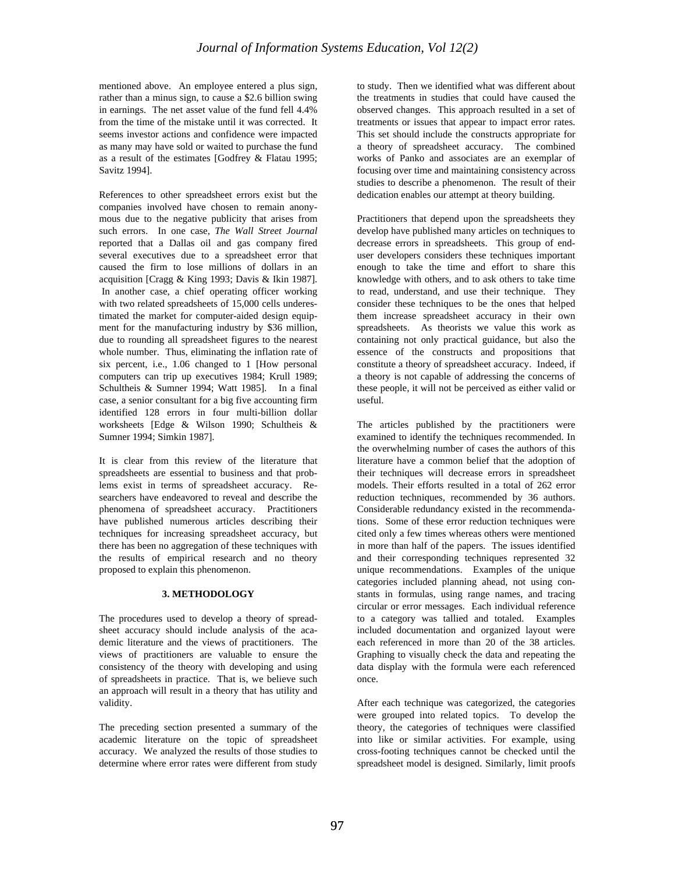mentioned above. An employee entered a plus sign, rather than a minus sign, to cause a \$2.6 billion swing in earnings. The net asset value of the fund fell 4.4% from the time of the mistake until it was corrected. It seems investor actions and confidence were impacted as many may have sold or waited to purchase the fund as a result of the estimates [Godfrey & Flatau 1995; Savitz 1994].

References to other spreadsheet errors exist but the companies involved have chosen to remain anonymous due to the negative publicity that arises from such errors. In one case, *The Wall Street Journal*  reported that a Dallas oil and gas company fired several executives due to a spreadsheet error that caused the firm to lose millions of dollars in an acquisition [Cragg & King 1993; Davis & Ikin 1987]. In another case, a chief operating officer working with two related spreadsheets of 15,000 cells underestimated the market for computer-aided design equipment for the manufacturing industry by \$36 million, due to rounding all spreadsheet figures to the nearest whole number. Thus, eliminating the inflation rate of six percent, i.e., 1.06 changed to 1 [How personal computers can trip up executives 1984; Krull 1989; Schultheis & Sumner 1994; Watt 1985]. In a final case, a senior consultant for a big five accounting firm identified 128 errors in four multi-billion dollar worksheets [Edge & Wilson 1990; Schultheis & Sumner 1994; Simkin 1987].

It is clear from this review of the literature that spreadsheets are essential to business and that problems exist in terms of spreadsheet accuracy. Researchers have endeavored to reveal and describe the phenomena of spreadsheet accuracy. Practitioners have published numerous articles describing their techniques for increasing spreadsheet accuracy, but there has been no aggregation of these techniques with the results of empirical research and no theory proposed to explain this phenomenon.

## **3. METHODOLOGY**

The procedures used to develop a theory of spreadsheet accuracy should include analysis of the academic literature and the views of practitioners. The views of practitioners are valuable to ensure the consistency of the theory with developing and using of spreadsheets in practice. That is, we believe such an approach will result in a theory that has utility and validity.

The preceding section presented a summary of the academic literature on the topic of spreadsheet accuracy. We analyzed the results of those studies to determine where error rates were different from study to study. Then we identified what was different about the treatments in studies that could have caused the observed changes. This approach resulted in a set of treatments or issues that appear to impact error rates. This set should include the constructs appropriate for a theory of spreadsheet accuracy. The combined works of Panko and associates are an exemplar of focusing over time and maintaining consistency across studies to describe a phenomenon. The result of their dedication enables our attempt at theory building.

Practitioners that depend upon the spreadsheets they develop have published many articles on techniques to decrease errors in spreadsheets. This group of enduser developers considers these techniques important enough to take the time and effort to share this knowledge with others, and to ask others to take time to read, understand, and use their technique. They consider these techniques to be the ones that helped them increase spreadsheet accuracy in their own spreadsheets. As theorists we value this work as containing not only practical guidance, but also the essence of the constructs and propositions that constitute a theory of spreadsheet accuracy. Indeed, if a theory is not capable of addressing the concerns of these people, it will not be perceived as either valid or useful.

The articles published by the practitioners were examined to identify the techniques recommended. In the overwhelming number of cases the authors of this literature have a common belief that the adoption of their techniques will decrease errors in spreadsheet models. Their efforts resulted in a total of 262 error reduction techniques, recommended by 36 authors. Considerable redundancy existed in the recommendations. Some of these error reduction techniques were cited only a few times whereas others were mentioned in more than half of the papers. The issues identified and their corresponding techniques represented 32 unique recommendations. Examples of the unique categories included planning ahead, not using constants in formulas, using range names, and tracing circular or error messages. Each individual reference to a category was tallied and totaled. Examples included documentation and organized layout were each referenced in more than 20 of the 38 articles. Graphing to visually check the data and repeating the data display with the formula were each referenced once.

After each technique was categorized, the categories were grouped into related topics. To develop the theory, the categories of techniques were classified into like or similar activities. For example, using cross-footing techniques cannot be checked until the spreadsheet model is designed. Similarly, limit proofs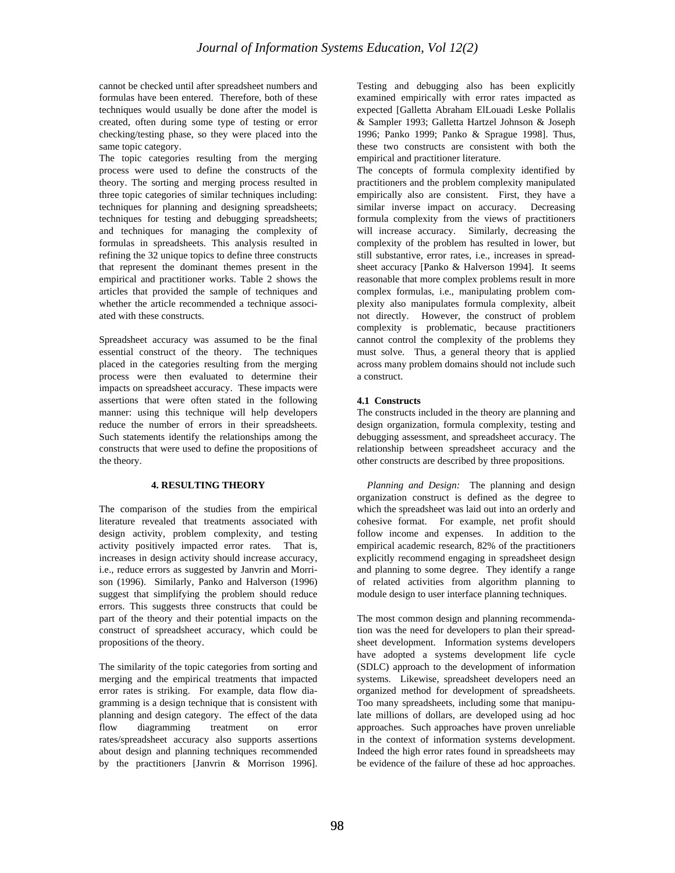cannot be checked until after spreadsheet numbers and formulas have been entered. Therefore, both of these techniques would usually be done after the model is created, often during some type of testing or error checking/testing phase, so they were placed into the same topic category.

The topic categories resulting from the merging process were used to define the constructs of the theory. The sorting and merging process resulted in three topic categories of similar techniques including: techniques for planning and designing spreadsheets; techniques for testing and debugging spreadsheets; and techniques for managing the complexity of formulas in spreadsheets. This analysis resulted in refining the 32 unique topics to define three constructs that represent the dominant themes present in the empirical and practitioner works. Table 2 shows the articles that provided the sample of techniques and whether the article recommended a technique associated with these constructs.

Spreadsheet accuracy was assumed to be the final essential construct of the theory. The techniques placed in the categories resulting from the merging process were then evaluated to determine their impacts on spreadsheet accuracy. These impacts were assertions that were often stated in the following manner: using this technique will help developers reduce the number of errors in their spreadsheets. Such statements identify the relationships among the constructs that were used to define the propositions of the theory.

## **4. RESULTING THEORY**

The comparison of the studies from the empirical literature revealed that treatments associated with design activity, problem complexity, and testing activity positively impacted error rates. That is, increases in design activity should increase accuracy, i.e., reduce errors as suggested by Janvrin and Morrison (1996). Similarly, Panko and Halverson (1996) suggest that simplifying the problem should reduce errors. This suggests three constructs that could be part of the theory and their potential impacts on the construct of spreadsheet accuracy, which could be propositions of the theory.

The similarity of the topic categories from sorting and merging and the empirical treatments that impacted error rates is striking. For example, data flow diagramming is a design technique that is consistent with planning and design category. The effect of the data flow diagramming treatment on error rates/spreadsheet accuracy also supports assertions about design and planning techniques recommended by the practitioners [Janvrin & Morrison 1996].

Testing and debugging also has been explicitly examined empirically with error rates impacted as expected [Galletta Abraham ElLouadi Leske Pollalis & Sampler 1993; Galletta Hartzel Johnson & Joseph 1996; Panko 1999; Panko & Sprague 1998]. Thus, these two constructs are consistent with both the empirical and practitioner literature.

The concepts of formula complexity identified by practitioners and the problem complexity manipulated empirically also are consistent. First, they have a similar inverse impact on accuracy. Decreasing formula complexity from the views of practitioners will increase accuracy. Similarly, decreasing the complexity of the problem has resulted in lower, but still substantive, error rates, i.e., increases in spreadsheet accuracy [Panko & Halverson 1994]. It seems reasonable that more complex problems result in more complex formulas, i.e., manipulating problem complexity also manipulates formula complexity, albeit not directly. However, the construct of problem complexity is problematic, because practitioners cannot control the complexity of the problems they must solve. Thus, a general theory that is applied across many problem domains should not include such a construct.

## **4.1 Constructs**

The constructs included in the theory are planning and design organization, formula complexity, testing and debugging assessment, and spreadsheet accuracy. The relationship between spreadsheet accuracy and the other constructs are described by three propositions.

 *Planning and Design:* The planning and design organization construct is defined as the degree to which the spreadsheet was laid out into an orderly and cohesive format. For example, net profit should follow income and expenses. In addition to the empirical academic research, 82% of the practitioners explicitly recommend engaging in spreadsheet design and planning to some degree. They identify a range of related activities from algorithm planning to module design to user interface planning techniques.

The most common design and planning recommendation was the need for developers to plan their spreadsheet development. Information systems developers have adopted a systems development life cycle (SDLC) approach to the development of information systems. Likewise, spreadsheet developers need an organized method for development of spreadsheets. Too many spreadsheets, including some that manipulate millions of dollars, are developed using ad hoc approaches. Such approaches have proven unreliable in the context of information systems development. Indeed the high error rates found in spreadsheets may be evidence of the failure of these ad hoc approaches.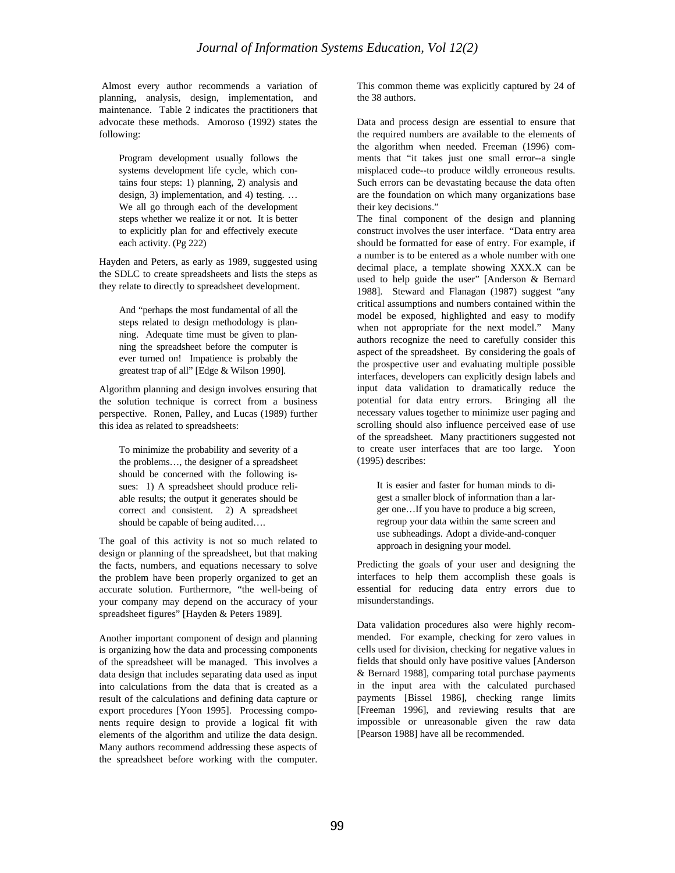Almost every author recommends a variation of planning, analysis, design, implementation, and maintenance. Table 2 indicates the practitioners that advocate these methods. Amoroso (1992) states the following:

Program development usually follows the systems development life cycle, which contains four steps: 1) planning, 2) analysis and design, 3) implementation, and 4) testing. … We all go through each of the development steps whether we realize it or not. It is better to explicitly plan for and effectively execute each activity. (Pg 222)

Hayden and Peters, as early as 1989, suggested using the SDLC to create spreadsheets and lists the steps as they relate to directly to spreadsheet development.

And "perhaps the most fundamental of all the steps related to design methodology is planning. Adequate time must be given to planning the spreadsheet before the computer is ever turned on! Impatience is probably the greatest trap of all" [Edge & Wilson 1990].

Algorithm planning and design involves ensuring that the solution technique is correct from a business perspective. Ronen, Palley, and Lucas (1989) further this idea as related to spreadsheets:

To minimize the probability and severity of a the problems…, the designer of a spreadsheet should be concerned with the following issues: 1) A spreadsheet should produce reliable results; the output it generates should be correct and consistent. 2) A spreadsheet should be capable of being audited….

The goal of this activity is not so much related to design or planning of the spreadsheet, but that making the facts, numbers, and equations necessary to solve the problem have been properly organized to get an accurate solution. Furthermore, "the well-being of your company may depend on the accuracy of your spreadsheet figures" [Hayden & Peters 1989].

Another important component of design and planning is organizing how the data and processing components of the spreadsheet will be managed. This involves a data design that includes separating data used as input into calculations from the data that is created as a result of the calculations and defining data capture or export procedures [Yoon 1995]. Processing components require design to provide a logical fit with elements of the algorithm and utilize the data design. Many authors recommend addressing these aspects of the spreadsheet before working with the computer. This common theme was explicitly captured by 24 of the 38 authors.

Data and process design are essential to ensure that the required numbers are available to the elements of the algorithm when needed. Freeman (1996) comments that "it takes just one small error--a single misplaced code--to produce wildly erroneous results. Such errors can be devastating because the data often are the foundation on which many organizations base their key decisions."

The final component of the design and planning construct involves the user interface. "Data entry area should be formatted for ease of entry. For example, if a number is to be entered as a whole number with one decimal place, a template showing XXX.X can be used to help guide the user" [Anderson & Bernard 1988]. Steward and Flanagan (1987) suggest "any critical assumptions and numbers contained within the model be exposed, highlighted and easy to modify when not appropriate for the next model." Many authors recognize the need to carefully consider this aspect of the spreadsheet. By considering the goals of the prospective user and evaluating multiple possible interfaces, developers can explicitly design labels and input data validation to dramatically reduce the potential for data entry errors. Bringing all the necessary values together to minimize user paging and scrolling should also influence perceived ease of use of the spreadsheet. Many practitioners suggested not to create user interfaces that are too large. Yoon (1995) describes:

It is easier and faster for human minds to digest a smaller block of information than a larger one…If you have to produce a big screen, regroup your data within the same screen and use subheadings. Adopt a divide-and-conquer approach in designing your model.

Predicting the goals of your user and designing the interfaces to help them accomplish these goals is essential for reducing data entry errors due to misunderstandings.

Data validation procedures also were highly recommended. For example, checking for zero values in cells used for division, checking for negative values in fields that should only have positive values [Anderson & Bernard 1988], comparing total purchase payments in the input area with the calculated purchased payments [Bissel 1986], checking range limits [Freeman 1996], and reviewing results that are impossible or unreasonable given the raw data [Pearson 1988] have all be recommended.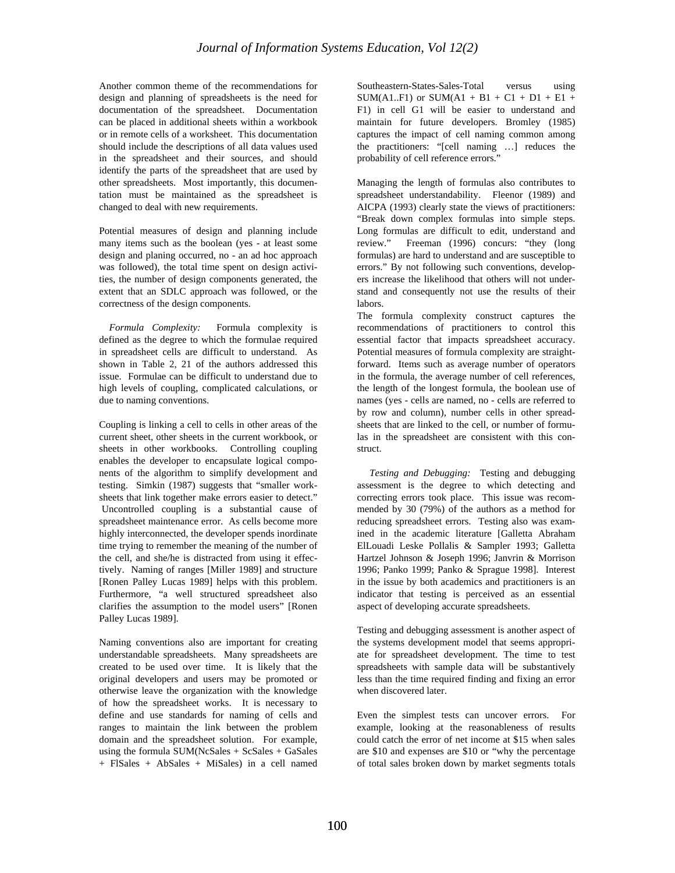Another common theme of the recommendations for design and planning of spreadsheets is the need for documentation of the spreadsheet. Documentation can be placed in additional sheets within a workbook or in remote cells of a worksheet. This documentation should include the descriptions of all data values used in the spreadsheet and their sources, and should identify the parts of the spreadsheet that are used by other spreadsheets. Most importantly, this documentation must be maintained as the spreadsheet is changed to deal with new requirements.

Potential measures of design and planning include many items such as the boolean (yes - at least some design and planing occurred, no - an ad hoc approach was followed), the total time spent on design activities, the number of design components generated, the extent that an SDLC approach was followed, or the correctness of the design components.

 *Formula Complexity:* Formula complexity is defined as the degree to which the formulae required in spreadsheet cells are difficult to understand. As shown in Table 2, 21 of the authors addressed this issue. Formulae can be difficult to understand due to high levels of coupling, complicated calculations, or due to naming conventions.

Coupling is linking a cell to cells in other areas of the current sheet, other sheets in the current workbook, or sheets in other workbooks. Controlling coupling enables the developer to encapsulate logical components of the algorithm to simplify development and testing. Simkin (1987) suggests that "smaller worksheets that link together make errors easier to detect." Uncontrolled coupling is a substantial cause of spreadsheet maintenance error. As cells become more highly interconnected, the developer spends inordinate time trying to remember the meaning of the number of the cell, and she/he is distracted from using it effectively. Naming of ranges [Miller 1989] and structure [Ronen Palley Lucas 1989] helps with this problem. Furthermore, "a well structured spreadsheet also clarifies the assumption to the model users" [Ronen Palley Lucas 1989].

Naming conventions also are important for creating understandable spreadsheets. Many spreadsheets are created to be used over time. It is likely that the original developers and users may be promoted or otherwise leave the organization with the knowledge of how the spreadsheet works. It is necessary to define and use standards for naming of cells and ranges to maintain the link between the problem domain and the spreadsheet solution. For example, using the formula  $SUM(NcSales + ScSales + GaSales)$ + FlSales + AbSales + MiSales) in a cell named

Southeastern-States-Sales-Total versus using SUM(A1..F1) or SUM(A1 + B1 + C1 + D1 + E1 + F1) in cell G1 will be easier to understand and maintain for future developers. Bromley (1985) captures the impact of cell naming common among the practitioners: "[cell naming …] reduces the probability of cell reference errors."

Managing the length of formulas also contributes to spreadsheet understandability. Fleenor (1989) and AICPA (1993) clearly state the views of practitioners: "Break down complex formulas into simple steps. Long formulas are difficult to edit, understand and review." Freeman (1996) concurs: "they (long formulas) are hard to understand and are susceptible to errors." By not following such conventions, developers increase the likelihood that others will not understand and consequently not use the results of their labors.

The formula complexity construct captures the recommendations of practitioners to control this essential factor that impacts spreadsheet accuracy. Potential measures of formula complexity are straightforward. Items such as average number of operators in the formula, the average number of cell references, the length of the longest formula, the boolean use of names (yes - cells are named, no - cells are referred to by row and column), number cells in other spreadsheets that are linked to the cell, or number of formulas in the spreadsheet are consistent with this construct.

 *Testing and Debugging:* Testing and debugging assessment is the degree to which detecting and correcting errors took place. This issue was recommended by 30 (79%) of the authors as a method for reducing spreadsheet errors. Testing also was examined in the academic literature [Galletta Abraham ElLouadi Leske Pollalis & Sampler 1993; Galletta Hartzel Johnson & Joseph 1996; Janvrin & Morrison 1996; Panko 1999; Panko & Sprague 1998]. Interest in the issue by both academics and practitioners is an indicator that testing is perceived as an essential aspect of developing accurate spreadsheets.

Testing and debugging assessment is another aspect of the systems development model that seems appropriate for spreadsheet development. The time to test spreadsheets with sample data will be substantively less than the time required finding and fixing an error when discovered later.

Even the simplest tests can uncover errors. For example, looking at the reasonableness of results could catch the error of net income at \$15 when sales are \$10 and expenses are \$10 or "why the percentage of total sales broken down by market segments totals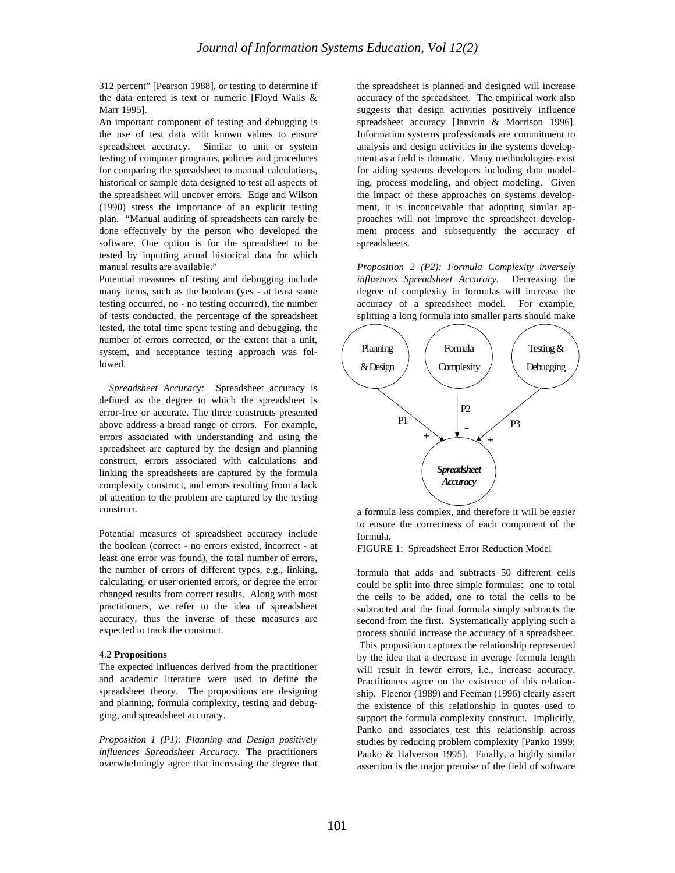312 percent" [Pearson 1988], or testing to determine if the data entered is text or numeric [Floyd Walls & Marr 1995].

An important component of testing and debugging is the use of test data with known values to ensure spreadsheet accuracy. Similar to unit or system testing of computer programs, policies and procedures for comparing the spreadsheet to manual calculations, historical or sample data designed to test all aspects of the spreadsheet will uncover errors. Edge and Wilson (1990) stress the importance of an explicit testing plan. "Manual auditing of spreadsheets can rarely be done effectively by the person who developed the software. One option is for the spreadsheet to be tested by inputting actual historical data for which manual results are available."

Potential measures of testing and debugging include many items, such as the boolean (yes - at least some testing occurred, no - no testing occurred), the number of tests conducted, the percentage of the spreadsheet tested, the total time spent testing and debugging, the number of errors corrected, or the extent that a unit, system, and acceptance testing approach was followed.

 *Spreadsheet Accuracy:* Spreadsheet accuracy is defined as the degree to which the spreadsheet is error-free or accurate. The three constructs presented above address a broad range of errors. For example, errors associated with understanding and using the spreadsheet are captured by the design and planning construct, errors associated with calculations and linking the spreadsheets are captured by the formula complexity construct, and errors resulting from a lack of attention to the problem are captured by the testing construct.

Potential measures of spreadsheet accuracy include the boolean (correct - no errors existed, incorrect - at least one error was found), the total number of errors, the number of errors of different types, e.g., linking, calculating, or user oriented errors, or degree the error changed results from correct results. Along with most practitioners, we refer to the idea of spreadsheet accuracy, thus the inverse of these measures are expected to track the construct.

#### 4.2 **Propositions**

The expected influences derived from the practitioner and academic literature were used to define the spreadsheet theory. The propositions are designing and planning, formula complexity, testing and debugging, and spreadsheet accuracy.

*Proposition 1 (P1): Planning and Design positively influences Spreadsheet Accuracy.* The practitioners overwhelmingly agree that increasing the degree that the spreadsheet is planned and designed will increase accuracy of the spreadsheet. The empirical work also suggests that design activities positively influence spreadsheet accuracy [Janvrin & Morrison 1996]. Information systems professionals are commitment to analysis and design activities in the systems development as a field is dramatic. Many methodologies exist for aiding systems developers including data modeling, process modeling, and object modeling. Given the impact of these approaches on systems development, it is inconceivable that adopting similar approaches will not improve the spreadsheet development process and subsequently the accuracy of spreadsheets.

*Proposition 2 (P2): Formula Complexity inversely influences Spreadsheet Accuracy.* Decreasing the degree of complexity in formulas will increase the accuracy of a spreadsheet model. For example, splitting a long formula into smaller parts should make



a formula less complex, and therefore it will be easier to ensure the correctness of each component of the formula.

FIGURE 1: Spreadsheet Error Reduction Model

formula that adds and subtracts 50 different cells could be split into three simple formulas: one to total the cells to be added, one to total the cells to be subtracted and the final formula simply subtracts the second from the first. Systematically applying such a process should increase the accuracy of a spreadsheet. This proposition captures the relationship represented by the idea that a decrease in average formula length will result in fewer errors, *i.e.*, increase accuracy. Practitioners agree on the existence of this relationship. Fleenor (1989) and Feeman (1996) clearly assert the existence of this relationship in quotes used to support the formula complexity construct. Implicitly, Panko and associates test this relationship across studies by reducing problem complexity [Panko 1999; Panko & Halverson 1995]. Finally, a highly similar assertion is the major premise of the field of software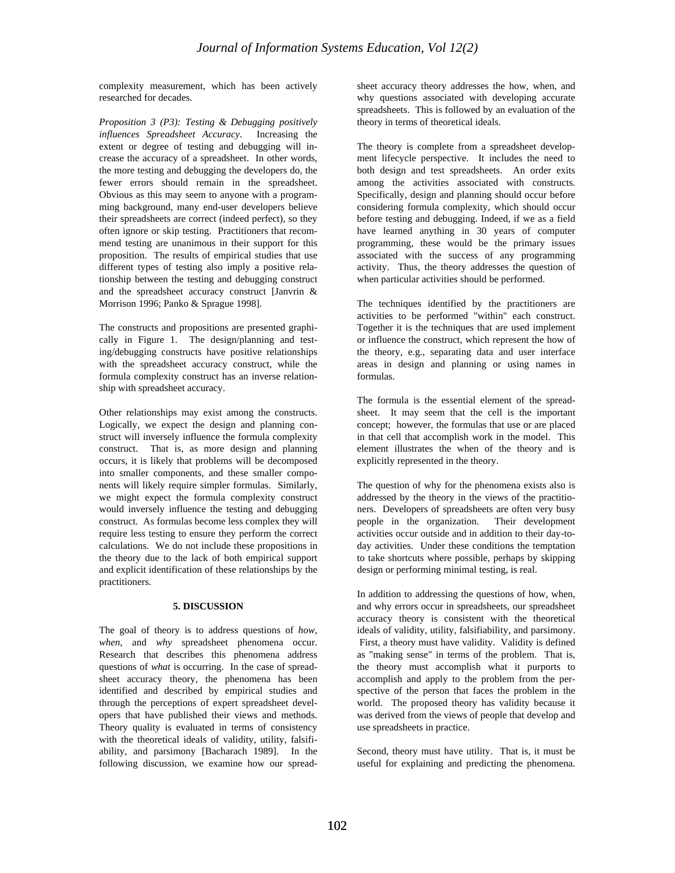complexity measurement, which has been actively researched for decades.

*Proposition 3 (P3): Testing & Debugging positively influences Spreadsheet Accuracy.* Increasing the extent or degree of testing and debugging will increase the accuracy of a spreadsheet. In other words, the more testing and debugging the developers do, the fewer errors should remain in the spreadsheet. Obvious as this may seem to anyone with a programming background, many end-user developers believe their spreadsheets are correct (indeed perfect), so they often ignore or skip testing. Practitioners that recommend testing are unanimous in their support for this proposition. The results of empirical studies that use different types of testing also imply a positive relationship between the testing and debugging construct and the spreadsheet accuracy construct [Janvrin & Morrison 1996; Panko & Sprague 1998].

The constructs and propositions are presented graphically in Figure 1. The design/planning and testing/debugging constructs have positive relationships with the spreadsheet accuracy construct, while the formula complexity construct has an inverse relationship with spreadsheet accuracy.

Other relationships may exist among the constructs. Logically, we expect the design and planning construct will inversely influence the formula complexity construct. That is, as more design and planning occurs, it is likely that problems will be decomposed into smaller components, and these smaller components will likely require simpler formulas. Similarly, we might expect the formula complexity construct would inversely influence the testing and debugging construct. As formulas become less complex they will require less testing to ensure they perform the correct calculations. We do not include these propositions in the theory due to the lack of both empirical support and explicit identification of these relationships by the practitioners.

## **5. DISCUSSION**

The goal of theory is to address questions of *how, when*, and *why* spreadsheet phenomena occur. Research that describes this phenomena address questions of *what* is occurring. In the case of spreadsheet accuracy theory, the phenomena has been identified and described by empirical studies and through the perceptions of expert spreadsheet developers that have published their views and methods. Theory quality is evaluated in terms of consistency with the theoretical ideals of validity, utility, falsifiability, and parsimony [Bacharach 1989]. In the following discussion, we examine how our spreadsheet accuracy theory addresses the how, when, and why questions associated with developing accurate spreadsheets. This is followed by an evaluation of the theory in terms of theoretical ideals.

The theory is complete from a spreadsheet development lifecycle perspective. It includes the need to both design and test spreadsheets. An order exits among the activities associated with constructs. Specifically, design and planning should occur before considering formula complexity, which should occur before testing and debugging. Indeed, if we as a field have learned anything in 30 years of computer programming, these would be the primary issues associated with the success of any programming activity. Thus, the theory addresses the question of when particular activities should be performed.

The techniques identified by the practitioners are activities to be performed "within" each construct. Together it is the techniques that are used implement or influence the construct, which represent the how of the theory, e.g., separating data and user interface areas in design and planning or using names in formulas.

The formula is the essential element of the spreadsheet. It may seem that the cell is the important concept; however, the formulas that use or are placed in that cell that accomplish work in the model. This element illustrates the when of the theory and is explicitly represented in the theory.

The question of why for the phenomena exists also is addressed by the theory in the views of the practitioners. Developers of spreadsheets are often very busy people in the organization. Their development activities occur outside and in addition to their day-today activities. Under these conditions the temptation to take shortcuts where possible, perhaps by skipping design or performing minimal testing, is real.

In addition to addressing the questions of how, when, and why errors occur in spreadsheets, our spreadsheet accuracy theory is consistent with the theoretical ideals of validity, utility, falsifiability, and parsimony. First, a theory must have validity. Validity is defined as "making sense" in terms of the problem. That is, the theory must accomplish what it purports to accomplish and apply to the problem from the perspective of the person that faces the problem in the world. The proposed theory has validity because it was derived from the views of people that develop and use spreadsheets in practice.

Second, theory must have utility. That is, it must be useful for explaining and predicting the phenomena.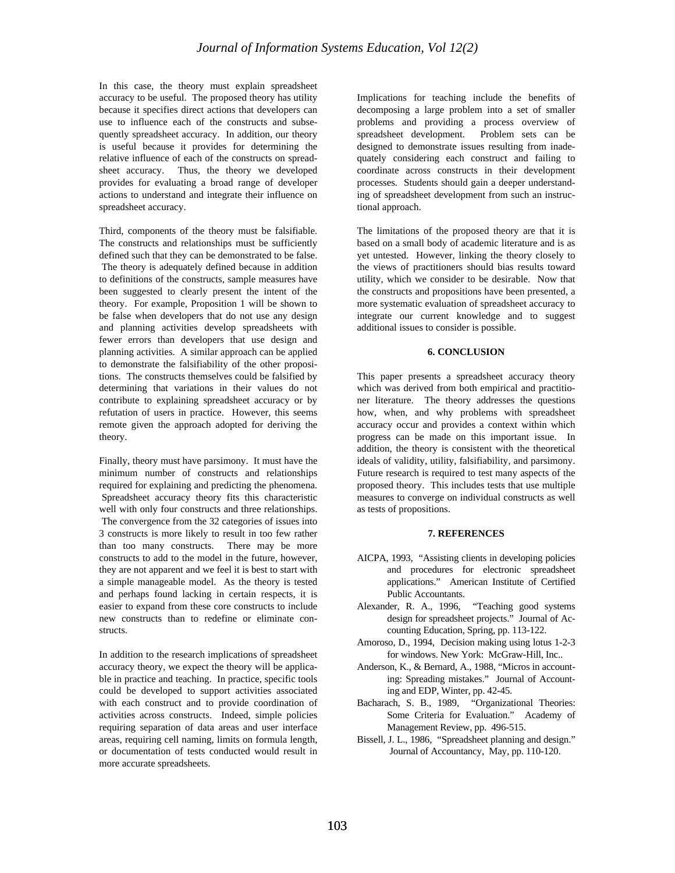In this case, the theory must explain spreadsheet accuracy to be useful. The proposed theory has utility because it specifies direct actions that developers can use to influence each of the constructs and subsequently spreadsheet accuracy. In addition, our theory is useful because it provides for determining the relative influence of each of the constructs on spreadsheet accuracy. Thus, the theory we developed provides for evaluating a broad range of developer actions to understand and integrate their influence on spreadsheet accuracy.

Third, components of the theory must be falsifiable. The constructs and relationships must be sufficiently defined such that they can be demonstrated to be false. The theory is adequately defined because in addition to definitions of the constructs, sample measures have been suggested to clearly present the intent of the theory. For example, Proposition 1 will be shown to be false when developers that do not use any design and planning activities develop spreadsheets with fewer errors than developers that use design and planning activities. A similar approach can be applied to demonstrate the falsifiability of the other propositions. The constructs themselves could be falsified by determining that variations in their values do not contribute to explaining spreadsheet accuracy or by refutation of users in practice. However, this seems remote given the approach adopted for deriving the theory.

Finally, theory must have parsimony. It must have the minimum number of constructs and relationships required for explaining and predicting the phenomena. Spreadsheet accuracy theory fits this characteristic well with only four constructs and three relationships. The convergence from the 32 categories of issues into 3 constructs is more likely to result in too few rather than too many constructs. There may be more constructs to add to the model in the future, however, they are not apparent and we feel it is best to start with a simple manageable model. As the theory is tested and perhaps found lacking in certain respects, it is easier to expand from these core constructs to include new constructs than to redefine or eliminate constructs.

In addition to the research implications of spreadsheet accuracy theory, we expect the theory will be applicable in practice and teaching. In practice, specific tools could be developed to support activities associated with each construct and to provide coordination of activities across constructs. Indeed, simple policies requiring separation of data areas and user interface areas, requiring cell naming, limits on formula length, or documentation of tests conducted would result in more accurate spreadsheets.

Implications for teaching include the benefits of decomposing a large problem into a set of smaller problems and providing a process overview of spreadsheet development. Problem sets can be designed to demonstrate issues resulting from inadequately considering each construct and failing to coordinate across constructs in their development processes. Students should gain a deeper understanding of spreadsheet development from such an instructional approach.

The limitations of the proposed theory are that it is based on a small body of academic literature and is as yet untested. However, linking the theory closely to the views of practitioners should bias results toward utility, which we consider to be desirable. Now that the constructs and propositions have been presented, a more systematic evaluation of spreadsheet accuracy to integrate our current knowledge and to suggest additional issues to consider is possible.

#### **6. CONCLUSION**

This paper presents a spreadsheet accuracy theory which was derived from both empirical and practitioner literature. The theory addresses the questions how, when, and why problems with spreadsheet accuracy occur and provides a context within which progress can be made on this important issue. In addition, the theory is consistent with the theoretical ideals of validity, utility, falsifiability, and parsimony. Future research is required to test many aspects of the proposed theory. This includes tests that use multiple measures to converge on individual constructs as well as tests of propositions.

#### **7. REFERENCES**

- AICPA, 1993, "Assisting clients in developing policies and procedures for electronic spreadsheet applications." American Institute of Certified Public Accountants.
- Alexander, R. A., 1996, "Teaching good systems design for spreadsheet projects." Journal of Accounting Education, Spring, pp. 113-122.
- Amoroso, D., 1994, Decision making using lotus 1-2-3 for windows. New York: McGraw-Hill, Inc..
- Anderson, K., & Bernard, A., 1988, "Micros in accounting: Spreading mistakes." Journal of Accounting and EDP, Winter, pp. 42-45.
- Bacharach, S. B., 1989, "Organizational Theories: Some Criteria for Evaluation." Academy of Management Review, pp. 496-515.
- Bissell, J. L., 1986, "Spreadsheet planning and design." Journal of Accountancy, May, pp. 110-120.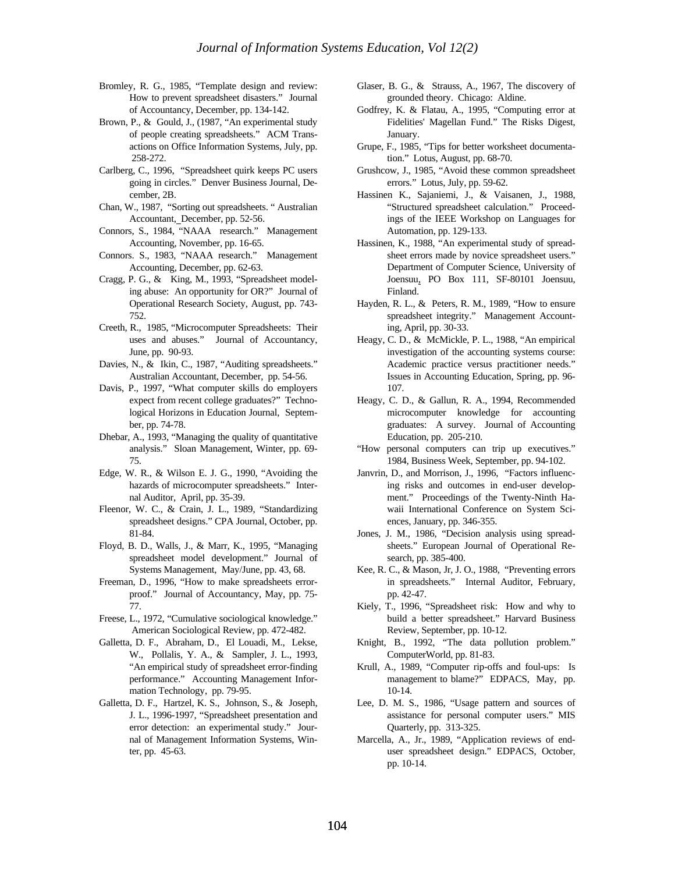- Bromley, R. G., 1985, "Template design and review: How to prevent spreadsheet disasters." Journal of Accountancy, December, pp. 134-142.
- Brown, P., & Gould, J., (1987, "An experimental study of people creating spreadsheets." ACM Transactions on Office Information Systems, July, pp. 258-272.
- Carlberg, C., 1996, "Spreadsheet quirk keeps PC users going in circles." Denver Business Journal, December, 2B.
- Chan, W., 1987, "Sorting out spreadsheets. " Australian Accountant, December, pp. 52-56.
- Connors, S., 1984, "NAAA research." Management Accounting, November, pp. 16-65.
- Connors. S., 1983, "NAAA research." Management Accounting, December, pp. 62-63.
- Cragg, P. G., & King, M., 1993, "Spreadsheet modeling abuse: An opportunity for OR?" Journal of Operational Research Society, August, pp. 743- 752.
- Creeth, R., 1985, "Microcomputer Spreadsheets: Their uses and abuses." Journal of Accountancy, June, pp. 90-93.
- Davies, N., & Ikin, C., 1987, "Auditing spreadsheets." Australian Accountant, December, pp. 54-56.
- Davis, P., 1997, "What computer skills do employers expect from recent college graduates?" Technological Horizons in Education Journal, September, pp. 74-78.
- Dhebar, A., 1993, "Managing the quality of quantitative analysis." Sloan Management, Winter, pp. 69- 75.
- Edge, W. R., & Wilson E. J. G., 1990, "Avoiding the hazards of microcomputer spreadsheets." Internal Auditor, April, pp. 35-39.
- Fleenor, W. C., & Crain, J. L., 1989, "Standardizing spreadsheet designs." CPA Journal, October, pp. 81-84.
- Floyd, B. D., Walls, J., & Marr, K., 1995, "Managing spreadsheet model development." Journal of Systems Management, May/June, pp. 43, 68.
- Freeman, D., 1996, "How to make spreadsheets errorproof." Journal of Accountancy, May, pp. 75- 77.
- Freese, L., 1972, "Cumulative sociological knowledge." American Sociological Review, pp. 472-482.
- Galletta, D. F., Abraham, D., El Louadi, M., Lekse, W., Pollalis, Y. A., & Sampler, J. L., 1993, "An empirical study of spreadsheet error-finding performance." Accounting Management Information Technology, pp. 79-95.
- Galletta, D. F., Hartzel, K. S., Johnson, S., & Joseph, J. L., 1996-1997, "Spreadsheet presentation and error detection: an experimental study." Journal of Management Information Systems, Winter, pp. 45-63.
- Glaser, B. G., & Strauss, A., 1967, The discovery of grounded theory. Chicago: Aldine.
- Godfrey, K. & Flatau, A., 1995, "Computing error at Fidelities' Magellan Fund." The Risks Digest, January.
- Grupe, F., 1985, "Tips for better worksheet documentation." Lotus, August, pp. 68-70.
- Grushcow, J., 1985, "Avoid these common spreadsheet errors." Lotus, July, pp. 59-62.
- Hassinen K., Sajaniemi, J., & Vaisanen, J., 1988, "Structured spreadsheet calculation." Proceedings of the IEEE Workshop on Languages for Automation, pp. 129-133.
- Hassinen, K., 1988, "An experimental study of spreadsheet errors made by novice spreadsheet users." Department of Computer Science, University of Joensuu, PO Box 111, SF-80101 Joensuu, Finland.
- Hayden, R. L., & Peters, R. M., 1989, "How to ensure spreadsheet integrity." Management Accounting, April, pp. 30-33.
- Heagy, C. D., & McMickle, P. L., 1988, "An empirical investigation of the accounting systems course: Academic practice versus practitioner needs." Issues in Accounting Education, Spring, pp. 96- 107.
- Heagy, C. D., & Gallun, R. A., 1994, Recommended microcomputer knowledge for accounting graduates: A survey. Journal of Accounting Education, pp. 205-210.
- "How personal computers can trip up executives." 1984, Business Week, September, pp. 94-102.
- Janvrin, D., and Morrison, J., 1996, "Factors influencing risks and outcomes in end-user development." Proceedings of the Twenty-Ninth Hawaii International Conference on System Sciences, January, pp. 346-355.
- Jones, J. M., 1986, "Decision analysis using spreadsheets." European Journal of Operational Research, pp. 385-400.
- Kee, R. C., & Mason, Jr, J. O., 1988, "Preventing errors in spreadsheets." Internal Auditor, February, pp. 42-47.
- Kiely, T., 1996, "Spreadsheet risk: How and why to build a better spreadsheet." Harvard Business Review, September, pp. 10-12.
- Knight, B., 1992, "The data pollution problem." ComputerWorld, pp. 81-83.
- Krull, A., 1989, "Computer rip-offs and foul-ups: Is management to blame?" EDPACS, May, pp. 10-14.
- Lee, D. M. S., 1986, "Usage pattern and sources of assistance for personal computer users." MIS Quarterly, pp. 313-325.
- Marcella, A., Jr., 1989, "Application reviews of enduser spreadsheet design." EDPACS, October, pp. 10-14.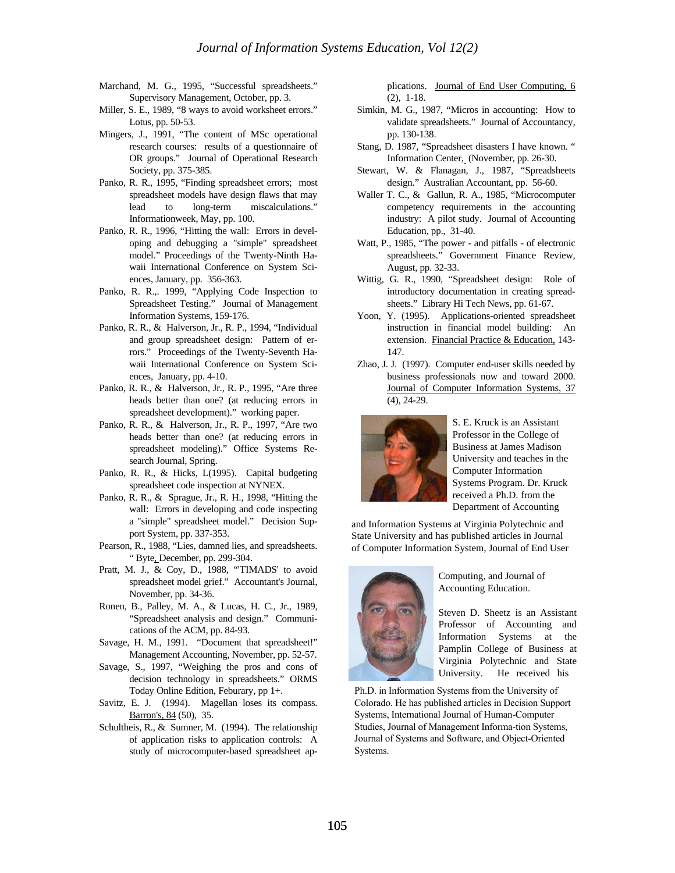- Marchand, M. G., 1995, "Successful spreadsheets." Supervisory Management, October, pp. 3.
- Miller, S. E., 1989, "8 ways to avoid worksheet errors." Lotus, pp. 50-53.
- Mingers, J., 1991, "The content of MSc operational research courses: results of a questionnaire of OR groups." Journal of Operational Research Society, pp. 375-385.
- Panko, R. R., 1995, "Finding spreadsheet errors; most spreadsheet models have design flaws that may lead to long-term miscalculations." Informationweek, May, pp. 100.
- Panko, R. R., 1996, "Hitting the wall: Errors in developing and debugging a "simple" spreadsheet model." Proceedings of the Twenty-Ninth Hawaii International Conference on System Sciences, January, pp. 356-363.
- Panko, R. R.,. 1999, "Applying Code Inspection to Spreadsheet Testing." Journal of Management Information Systems, 159-176.
- Panko, R. R., & Halverson, Jr., R. P., 1994, "Individual and group spreadsheet design: Pattern of errors." Proceedings of the Twenty-Seventh Hawaii International Conference on System Sciences, January, pp. 4-10.
- Panko, R. R., & Halverson, Jr., R. P., 1995, "Are three heads better than one? (at reducing errors in spreadsheet development)." working paper.
- Panko, R. R., & Halverson, Jr., R. P., 1997, "Are two heads better than one? (at reducing errors in spreadsheet modeling)." Office Systems Research Journal, Spring.
- Panko, R. R., & Hicks, L(1995). Capital budgeting spreadsheet code inspection at NYNEX.
- Panko, R. R., & Sprague, Jr., R. H., 1998, "Hitting the wall: Errors in developing and code inspecting a "simple" spreadsheet model." Decision Support System, pp. 337-353.
- Pearson, R., 1988, "Lies, damned lies, and spreadsheets. " Byte, December, pp. 299-304.
- Pratt, M. J., & Coy, D., 1988, "'TIMADS' to avoid spreadsheet model grief." Accountant's Journal, November, pp. 34-36.
- Ronen, B., Palley, M. A., & Lucas, H. C., Jr., 1989, "Spreadsheet analysis and design." Communications of the ACM, pp. 84-93.
- Savage, H. M., 1991. "Document that spreadsheet!" Management Accounting, November, pp. 52-57.
- Savage, S., 1997, "Weighing the pros and cons of decision technology in spreadsheets." ORMS Today Online Edition, Feburary, pp 1+.
- Savitz, E. J. (1994). Magellan loses its compass. Barron's, 84 (50), 35.
- Schultheis, R., & Sumner, M. (1994). The relationship of application risks to application controls: A study of microcomputer-based spreadsheet ap-

plications. Journal of End User Computing, 6 (2), 1-18.

- Simkin, M. G., 1987, "Micros in accounting: How to validate spreadsheets." Journal of Accountancy, pp. 130-138.
- Stang, D. 1987, "Spreadsheet disasters I have known. " Information Center, (November, pp. 26-30.
- Stewart, W. & Flanagan, J., 1987, "Spreadsheets design." Australian Accountant, pp. 56-60.
- Waller T. C., & Gallun, R. A., 1985, "Microcomputer competency requirements in the accounting industry: A pilot study. Journal of Accounting Education, pp., 31-40.
- Watt, P., 1985, "The power and pitfalls of electronic spreadsheets." Government Finance Review, August, pp. 32-33.
- Wittig, G. R., 1990, "Spreadsheet design: Role of introductory documentation in creating spreadsheets." Library Hi Tech News, pp. 61-67.
- Yoon, Y. (1995). Applications-oriented spreadsheet instruction in financial model building: An extension. Financial Practice & Education, 143- 147.
- Zhao, J. J. (1997). Computer end-user skills needed by business professionals now and toward 2000. Journal of Computer Information Systems, 37 (4), 24-29.



S. E. Kruck is an Assistant Professor in the College of Business at James Madison University and teaches in the Computer Information Systems Program. Dr. Kruck received a Ph.D. from the Department of Accounting

and Information Systems at Virginia Polytechnic and State University and has published articles in Journal of Computer Information System, Journal of End User



Computing, and Journal of Accounting Education.

Steven D. Sheetz is an Assistant Professor of Accounting and Information Systems at the Pamplin College of Business at Virginia Polytechnic and State University. He received his

Ph.D. in Information Systems from the University of Colorado. He has published articles in Decision Support Systems, International Journal of Human-Computer Studies, Journal of Management Informa-tion Systems, Journal of Systems and Software, and Object-Oriented Systems.